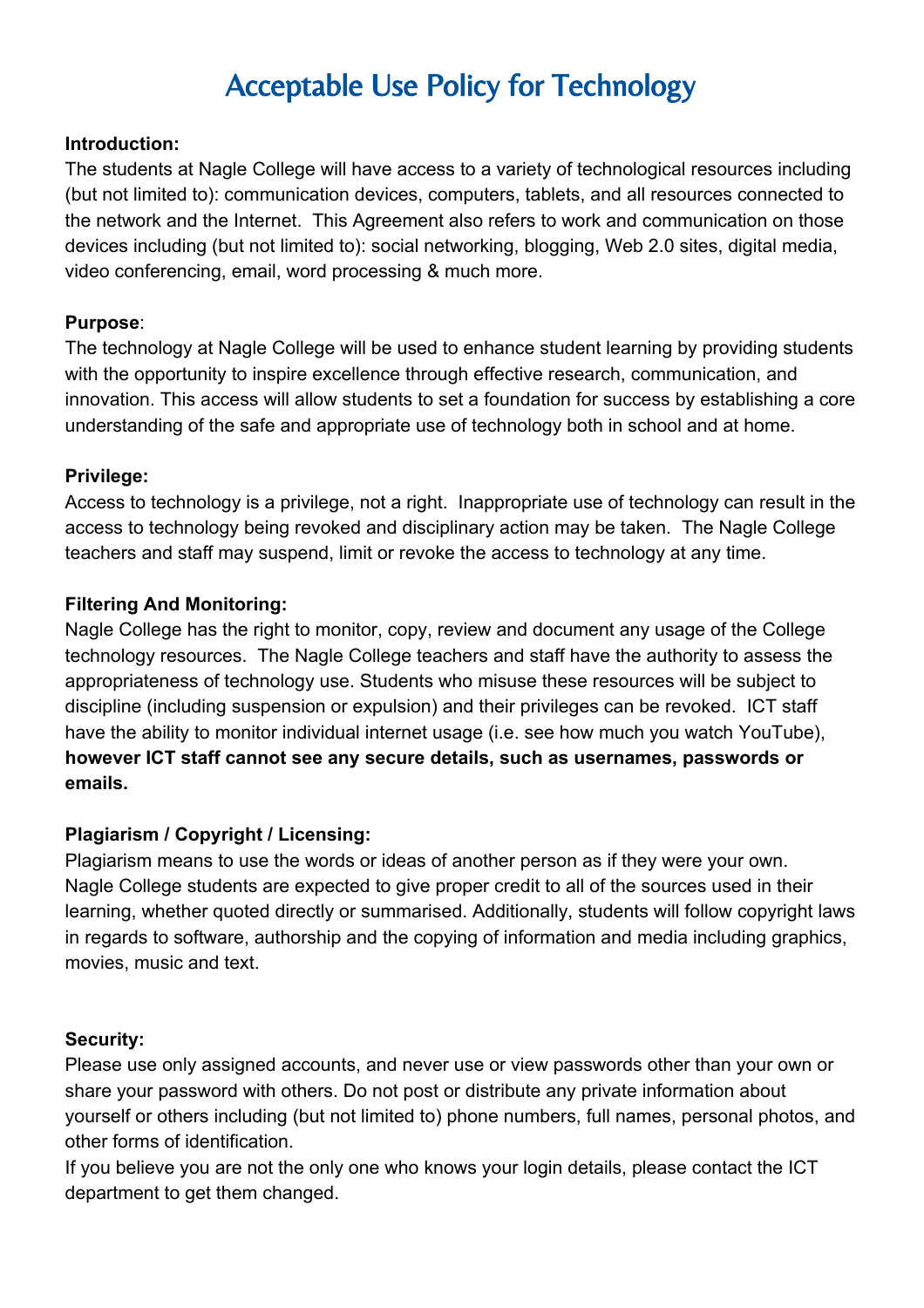# Acceptable Use Policy for Technology

#### **Introduction:**

The students at Nagle College will have access to a variety of technological resources including (but not limited to): communication devices, computers, tablets, and all resources connected to the network and the Internet. This Agreement also refers to work and communication on those devices including (but not limited to): social networking, blogging, Web 2.0 sites, digital media, video conferencing, email, word processing & much more.

## **Purpose**:

The technology at Nagle College will be used to enhance student learning by providing students with the opportunity to inspire excellence through effective research, communication, and innovation. This access will allow students to set a foundation for success by establishing a core understanding of the safe and appropriate use of technology both in school and at home.

#### **Privilege:**

Access to technology is a privilege, not a right. Inappropriate use of technology can result in the access to technology being revoked and disciplinary action may be taken. The Nagle College teachers and staff may suspend, limit or revoke the access to technology at any time.

#### **Filtering And Monitoring:**

Nagle College has the right to monitor, copy, review and document any usage of the College technology resources. The Nagle College teachers and staff have the authority to assess the appropriateness of technology use. Students who misuse these resources will be subject to discipline (including suspension or expulsion) and their privileges can be revoked. ICT staff have the ability to monitor individual internet usage (i.e. see how much you watch YouTube), **however ICT staff cannot see any secure details, such as usernames, passwords or emails.**

## **Plagiarism / Copyright / Licensing:**

Plagiarism means to use the words or ideas of another person as if they were your own. Nagle College students are expected to give proper credit to all of the sources used in their learning, whether quoted directly or summarised. Additionally, students will follow copyright laws in regards to software, authorship and the copying of information and media including graphics, movies, music and text.

#### **Security:**

Please use only assigned accounts, and never use or view passwords other than your own or share your password with others. Do not post or distribute any private information about yourself or others including (but not limited to) phone numbers, full names, personal photos, and other forms of identification.

If you believe you are not the only one who knows your login details, please contact the ICT department to get them changed.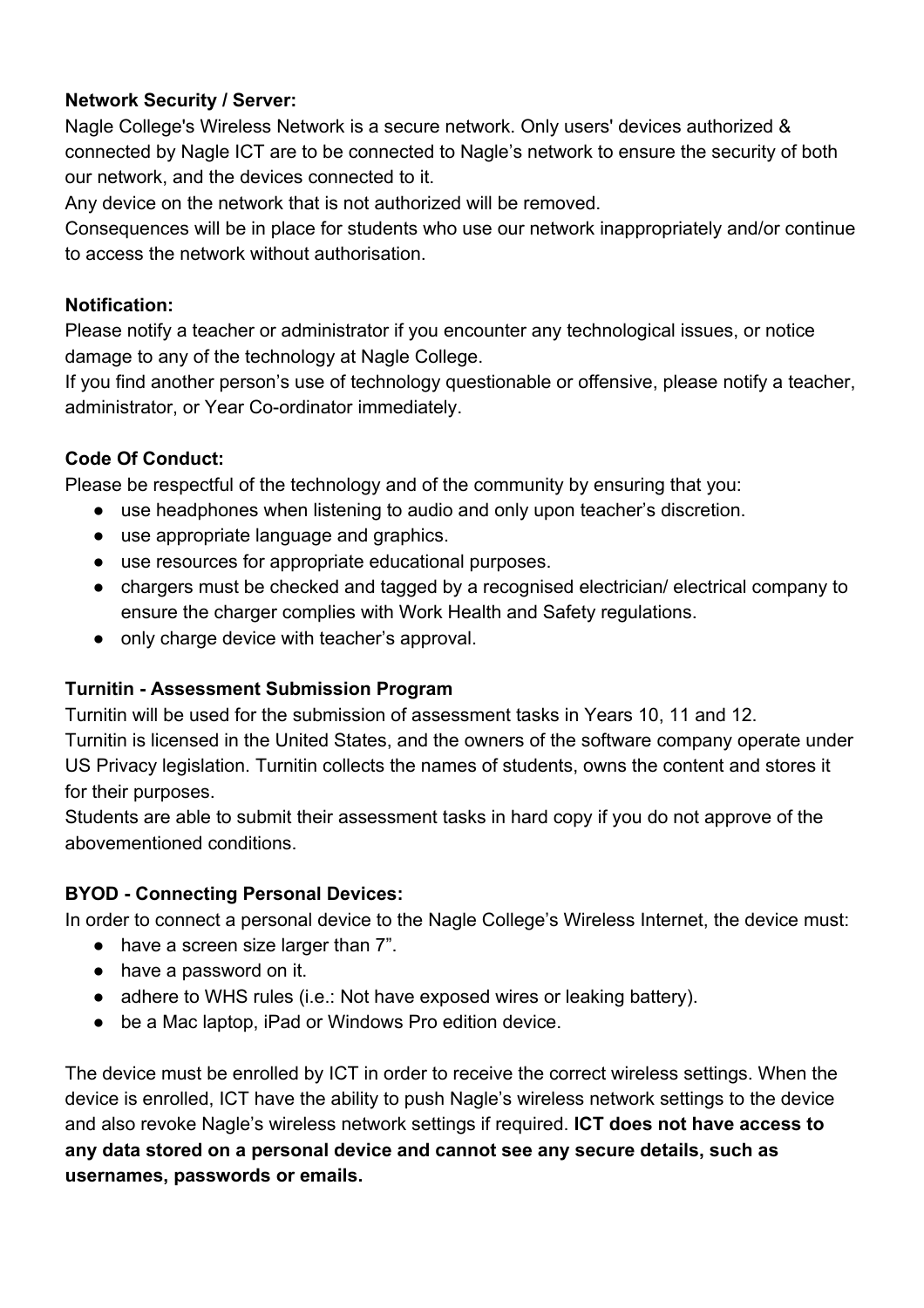# **Network Security / Server:**

Nagle College's Wireless Network is a secure network. Only users' devices authorized & connected by Nagle ICT are to be connected to Nagle's network to ensure the security of both our network, and the devices connected to it.

Any device on the network that is not authorized will be removed.

Consequences will be in place for students who use our network inappropriately and/or continue to access the network without authorisation.

# **Notification:**

Please notify a teacher or administrator if you encounter any technological issues, or notice damage to any of the technology at Nagle College.

If you find another person's use of technology questionable or offensive, please notify a teacher, administrator, or Year Co-ordinator immediately.

# **Code Of Conduct:**

Please be respectful of the technology and of the community by ensuring that you:

- use headphones when listening to audio and only upon teacher's discretion.
- use appropriate language and graphics.
- use resources for appropriate educational purposes.
- chargers must be checked and tagged by a recognised electrician/ electrical company to ensure the charger complies with Work Health and Safety regulations.
- only charge device with teacher's approval.

# **Turnitin Assessment Submission Program**

Turnitin will be used for the submission of assessment tasks in Years 10, 11 and 12. Turnitin is licensed in the United States, and the owners of the software company operate under US Privacy legislation. Turnitin collects the names of students, owns the content and stores it for their purposes.

Students are able to submit their assessment tasks in hard copy if you do not approve of the abovementioned conditions.

# **BYOD Connecting Personal Devices:**

In order to connect a personal device to the Nagle College's Wireless Internet, the device must:

- have a screen size larger than 7".
- have a password on it.
- adhere to WHS rules (i.e.: Not have exposed wires or leaking battery).
- be a Mac laptop, iPad or Windows Pro edition device.

The device must be enrolled by ICT in order to receive the correct wireless settings. When the device is enrolled, ICT have the ability to push Nagle's wireless network settings to the device and also revoke Nagle's wireless network settings if required. **ICT does not have access to any data stored on a personal device and cannot see any secure details, such as usernames, passwords or emails.**